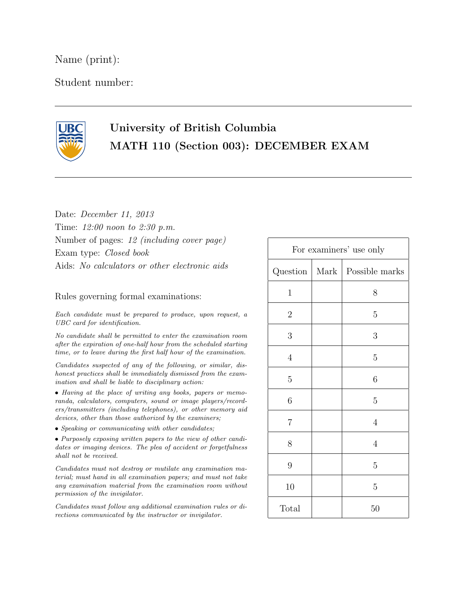Name (print):

Student number:



## University of British Columbia MATH 110 (Section 003): DECEMBER EXAM

Date: December 11, 2013 Time: 12:00 noon to 2:30 p.m. Number of pages: 12 (including cover page) Exam type: Closed book Aids: No calculators or other electronic aids

Rules governing formal examinations:

Each candidate must be prepared to produce, upon request, a UBC card for identification.

No candidate shall be permitted to enter the examination room after the expiration of one-half hour from the scheduled starting time, or to leave during the first half hour of the examination.

Candidates suspected of any of the following, or similar, dishonest practices shall be immediately dismissed from the examination and shall be liable to disciplinary action:

• Having at the place of writing any books, papers or memoranda, calculators, computers, sound or image players/recorders/transmitters (including telephones), or other memory aid devices, other than those authorized by the examiners;

• Speaking or communicating with other candidates;

• Purposely exposing written papers to the view of other candidates or imaging devices. The plea of accident or forgetfulness shall not be received.

Candidates must not destroy or mutilate any examination material; must hand in all examination papers; and must not take any examination material from the examination room without permission of the invigilator.

Candidates must follow any additional examination rules or directions communicated by the instructor or invigilator.

| For examiners' use only |      |                |
|-------------------------|------|----------------|
| Question                | Mark | Possible marks |
| $\mathbf{1}$            |      | 8              |
| $\overline{2}$          |      | $\overline{5}$ |
| 3                       |      | 3              |
| $\overline{4}$          |      | $\overline{5}$ |
| $\overline{5}$          |      | 6              |
| $\sqrt{6}$              |      | $\overline{5}$ |
| $\overline{7}$          |      | $\overline{4}$ |
| 8                       |      | $\overline{4}$ |
| $\overline{9}$          |      | $\overline{5}$ |
| 10                      |      | $\overline{5}$ |
| Total                   |      | 50             |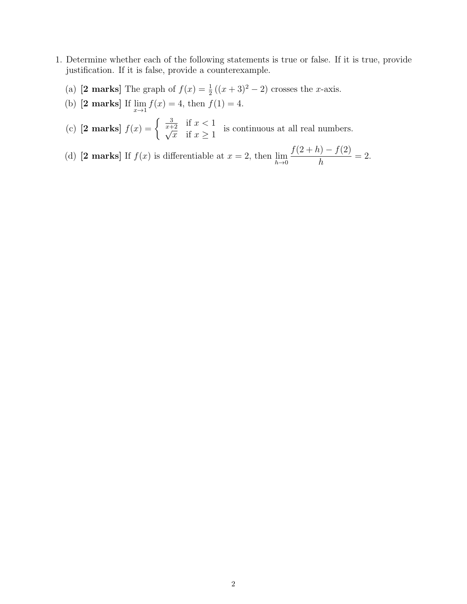- 1. Determine whether each of the following statements is true or false. If it is true, provide justification. If it is false, provide a counterexample.
	- (a) [2 marks] The graph of  $f(x) = \frac{1}{2}((x+3)^2 2)$  crosses the x-axis.
	- (b) [2 marks] If  $\lim_{x \to 1} f(x) = 4$ , then  $f(1) = 4$ .
	- (c) [2 marks]  $f(x) = \begin{cases} \frac{3}{x+2} & \text{if } x < 1 \\ 0 & \text{if } x > 1 \end{cases}$  $\frac{z^2}{x}$  if  $x \ge 1$  is continuous at all real numbers.
	- (d) [2 marks] If  $f(x)$  is differentiable at  $x = 2$ , then  $\lim_{h \to 0}$  $f(2+h) - f(2)$ h  $= 2.$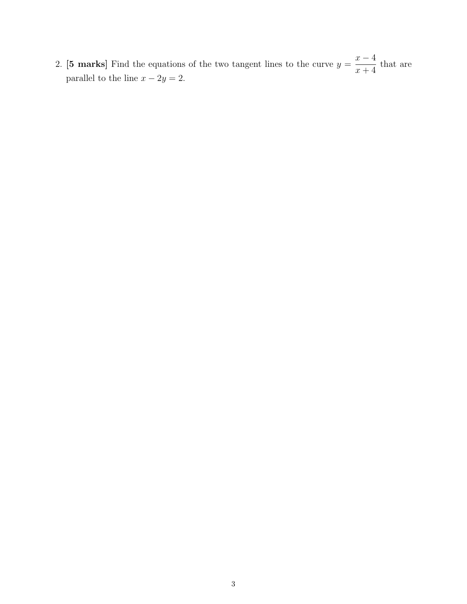2. [5 marks] Find the equations of the two tangent lines to the curve  $y =$  $x - 4$  $x + 4$ that are parallel to the line  $x - 2y = 2$ .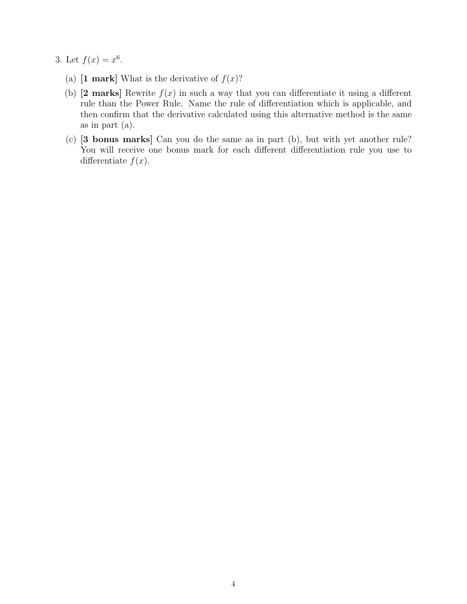- 3. Let  $f(x) = x^6$ .
	- (a)  $\mathbf{1}$  mark What is the derivative of  $f(x)$ ?
	- (b) [2 marks] Rewrite  $f(x)$  in such a way that you can differentiate it using a different rule than the Power Rule. Name the rule of differentiation which is applicable, and then confirm that the derivative calculated using this alternative method is the same as in part (a).
	- (c) [3 bonus marks] Can you do the same as in part (b), but with yet another rule? You will receive one bonus mark for each different differentiation rule you use to differentiate  $f(x)$ .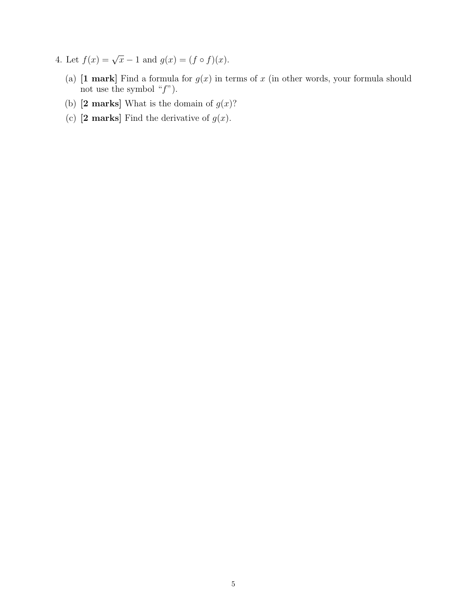- 4. Let  $f(x) = \sqrt{x-1}$  and  $g(x) = (f \circ f)(x)$ .
	- (a) [1 mark] Find a formula for  $g(x)$  in terms of x (in other words, your formula should not use the symbol  $"f"$ ).
	- (b) [2 marks] What is the domain of  $g(x)$ ?
	- (c)  $[2 \text{ marks}]$  Find the derivative of  $g(x)$ .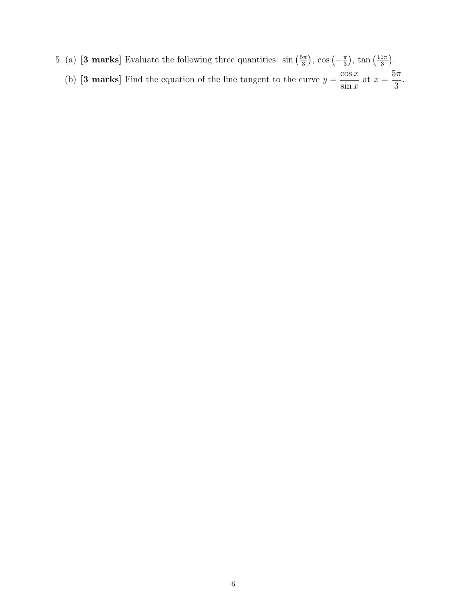5. (a) [3 marks] Evaluate the following three quantities:  $\sin\left(\frac{5\pi}{3}\right)$  $\left(\frac{5\pi}{3}\right)$ , cos  $\left(-\frac{\pi}{3}\right)$  $\frac{\pi}{3}$ , tan  $\left(\frac{11\pi}{3}\right)$  $\frac{1\pi}{3}$ . (b) **[3 marks]** Find the equation of the line tangent to the curve  $y =$  $\cos x$  $\sin x$ at  $x =$  $5\pi$ 3 .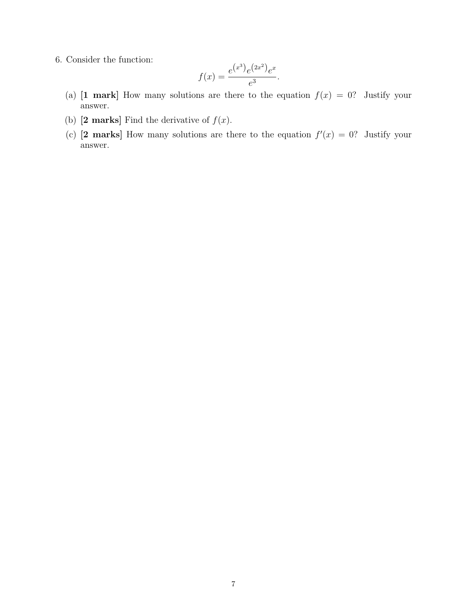6. Consider the function:

$$
f(x) = \frac{e^{(x^3)}e^{(2x^2)}e^x}{e^3}.
$$

- (a)  $[1 \text{ mark}]$  How many solutions are there to the equation  $f(x) = 0$ ? Justify your answer.
- (b)  $[2 \text{ marks}]$  Find the derivative of  $f(x)$ .
- (c) [2 marks] How many solutions are there to the equation  $f'(x) = 0$ ? Justify your answer.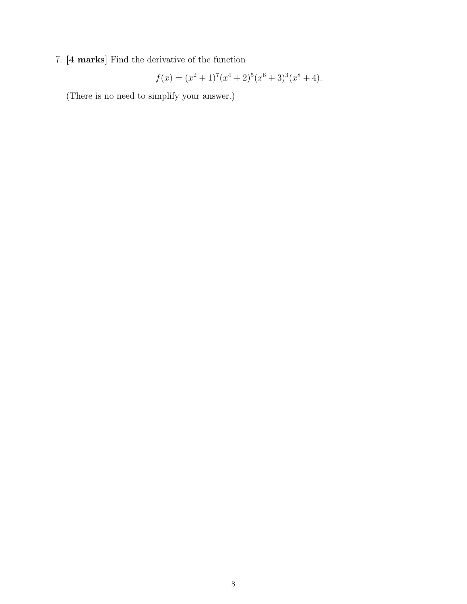## 7. [4 marks] Find the derivative of the function

$$
f(x) = (x2 + 1)7(x4 + 2)5(x6 + 3)3(x8 + 4).
$$

(There is no need to simplify your answer.)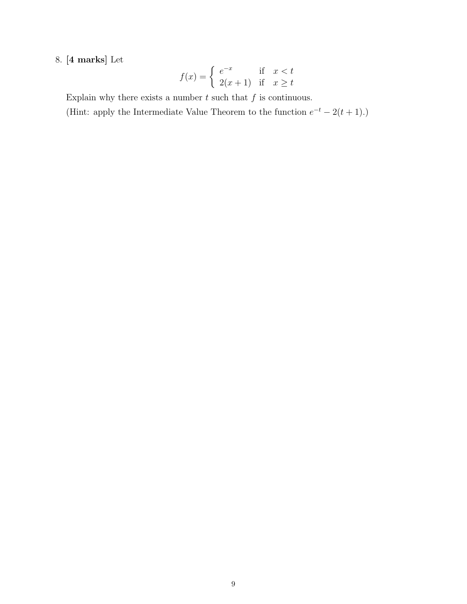## 8. [4 marks] Let

$$
f(x) = \begin{cases} e^{-x} & \text{if } x < t \\ 2(x+1) & \text{if } x \ge t \end{cases}
$$

Explain why there exists a number  $t$  such that  $f$  is continuous.

(Hint: apply the Intermediate Value Theorem to the function  $e^{-t} - 2(t+1)$ .)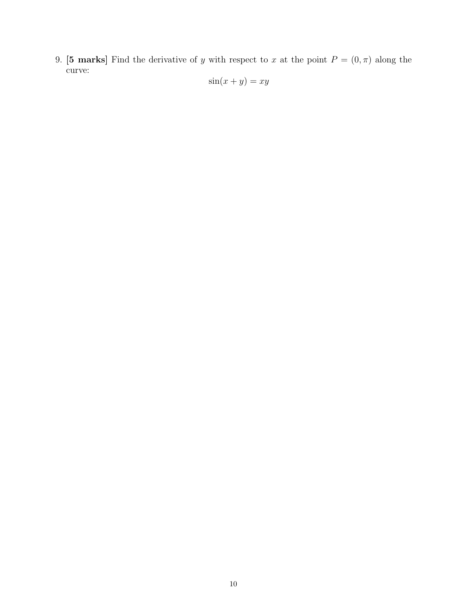9. [5 marks] Find the derivative of y with respect to x at the point  $P = (0, \pi)$  along the curve:  $s(m + y)$ 

$$
\sin(x+y) = xy
$$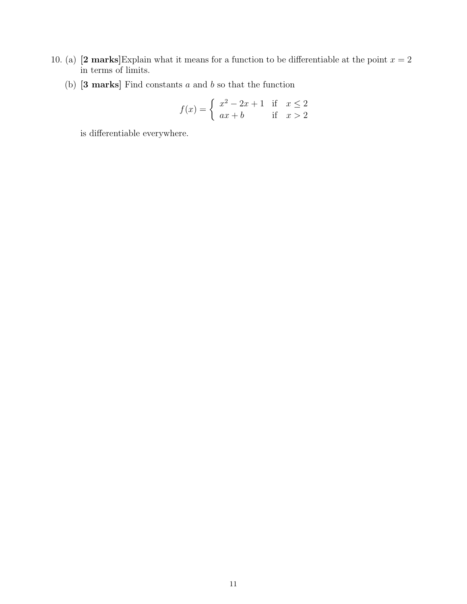- 10. (a) [2 marks]Explain what it means for a function to be differentiable at the point  $x = 2$ in terms of limits.
	- (b)  $[3 \text{ marks}]$  Find constants a and b so that the function

$$
f(x) = \begin{cases} x^2 - 2x + 1 & \text{if } x \le 2\\ ax + b & \text{if } x > 2 \end{cases}
$$

is differentiable everywhere.